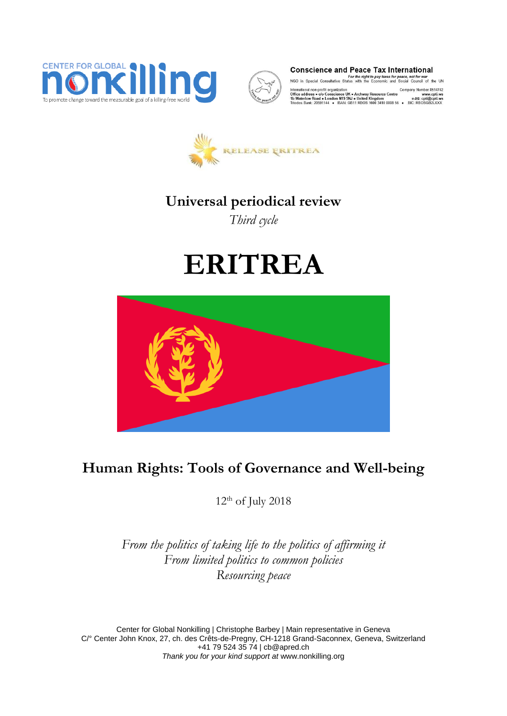



**Conscience and Peace Tax International** 

For the right to pay taxes for peace, not for war<br>NGO in Special Consultative Status with the Economic and Social Council of the UN

International non-profit organization Company Number 8514742<br>
Office address ● co Conscience UK ● Archway Resource Centre www.crit.ws<br>
Thitled Kingdom www.crit.ws Triodos Bank: 20591144 ● IBAN: ● B11 RBOS 1600 3410



# **Universal periodical review**

*Third cycle*

# **ERITREA**



# **Human Rights: Tools of Governance and Well-being**

 $12<sup>th</sup>$  of July 2018

*From the politics of taking life to the politics of affirming it From limited politics to common policies Resourcing peace* 

Center for Global Nonkilling | Christophe Barbey | Main representative in Geneva C/° Center John Knox, 27, ch. des Crêts-de-Pregny, CH-1218 Grand-Saconnex, Geneva, Switzerland +41 79 524 35 74 [| cb@apred.ch](mailto:cb@apred.ch) *Thank you for your kind support at* [www.nonkilling.org](http://www.nonkilling.org/)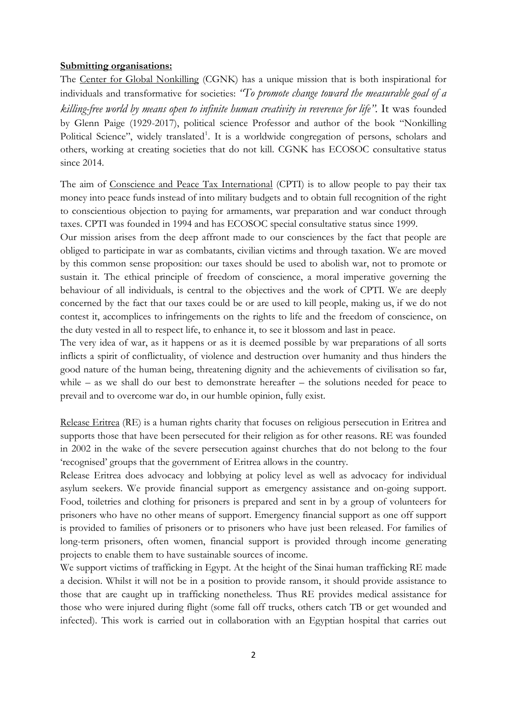#### **Submitting organisations:**

The Center for Global Nonkilling (CGNK) has a unique mission that is both inspirational for individuals and transformative for societies: *"To promote change toward the measurable goal of a killing-free world by means open to infinite human creativity in reverence for life".* It was founded by Glenn Paige (1929-2017), political science Professor and author of the book "Nonkilling Political Science", widely translated<sup>1</sup>. It is a worldwide congregation of persons, scholars and others, working at creating societies that do not kill. CGNK has ECOSOC consultative status since 2014.

The aim of Conscience and Peace Tax International (CPTI) is to allow people to pay their tax money into peace funds instead of into military budgets and to obtain full recognition of the right to conscientious objection to paying for armaments, war preparation and war conduct through taxes. CPTI was founded in 1994 and has ECOSOC special consultative status since 1999.

Our mission arises from the deep affront made to our consciences by the fact that people are obliged to participate in war as combatants, civilian victims and through taxation. We are moved by this common sense proposition: our taxes should be used to abolish war, not to promote or sustain it. The ethical principle of freedom of conscience, a moral imperative governing the behaviour of all individuals, is central to the objectives and the work of CPTI. We are deeply concerned by the fact that our taxes could be or are used to kill people, making us, if we do not contest it, accomplices to infringements on the rights to life and the freedom of conscience, on the duty vested in all to respect life, to enhance it, to see it blossom and last in peace.

The very idea of war, as it happens or as it is deemed possible by war preparations of all sorts inflicts a spirit of conflictuality, of violence and destruction over humanity and thus hinders the good nature of the human being, threatening dignity and the achievements of civilisation so far, while – as we shall do our best to demonstrate hereafter – the solutions needed for peace to prevail and to overcome war do, in our humble opinion, fully exist.

Release Eritrea (RE) is a human rights charity that focuses on religious persecution in Eritrea and supports those that have been persecuted for their religion as for other reasons. RE was founded in 2002 in the wake of the severe persecution against churches that do not belong to the four 'recognised' groups that the government of Eritrea allows in the country.

Release Eritrea does advocacy and lobbying at policy level as well as advocacy for individual asylum seekers. We provide financial support as emergency assistance and on-going support. Food, toiletries and clothing for prisoners is prepared and sent in by a group of volunteers for prisoners who have no other means of support. Emergency financial support as one off support is provided to families of prisoners or to prisoners who have just been released. For families of long-term prisoners, often women, financial support is provided through income generating projects to enable them to have sustainable sources of income.

We support victims of trafficking in Egypt. At the height of the Sinai human trafficking RE made a decision. Whilst it will not be in a position to provide ransom, it should provide assistance to those that are caught up in trafficking nonetheless. Thus RE provides medical assistance for those who were injured during flight (some fall off trucks, others catch TB or get wounded and infected). This work is carried out in collaboration with an Egyptian hospital that carries out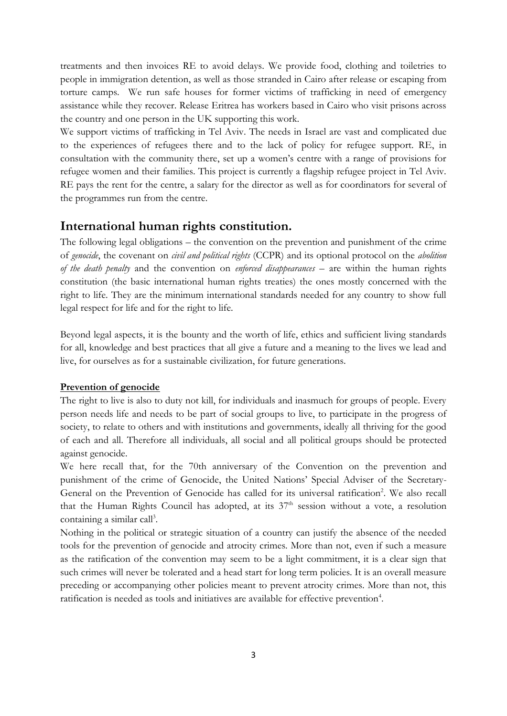treatments and then invoices RE to avoid delays. We provide food, clothing and toiletries to people in immigration detention, as well as those stranded in Cairo after release or escaping from torture camps. We run safe houses for former victims of trafficking in need of emergency assistance while they recover. Release Eritrea has workers based in Cairo who visit prisons across the country and one person in the UK supporting this work.

We support victims of trafficking in Tel Aviv. The needs in Israel are vast and complicated due to the experiences of refugees there and to the lack of policy for refugee support. RE, in consultation with the community there, set up a women's centre with a range of provisions for refugee women and their families. This project is currently a flagship refugee project in Tel Aviv. RE pays the rent for the centre, a salary for the director as well as for coordinators for several of the programmes run from the centre.

### **International human rights constitution.**

The following legal obligations – the convention on the prevention and punishment of the crime of *genocide*, the covenant on *civil and political rights* (CCPR) and its optional protocol on the *abolition of the death penalty* and the convention on *enforced disappearances* – are within the human rights constitution (the basic international human rights treaties) the ones mostly concerned with the right to life. They are the minimum international standards needed for any country to show full legal respect for life and for the right to life.

Beyond legal aspects, it is the bounty and the worth of life, ethics and sufficient living standards for all, knowledge and best practices that all give a future and a meaning to the lives we lead and live, for ourselves as for a sustainable civilization, for future generations.

#### **Prevention of genocide**

The right to live is also to duty not kill, for individuals and inasmuch for groups of people. Every person needs life and needs to be part of social groups to live, to participate in the progress of society, to relate to others and with institutions and governments, ideally all thriving for the good of each and all. Therefore all individuals, all social and all political groups should be protected against genocide.

We here recall that, for the 70th anniversary of the Convention on the prevention and punishment of the crime of Genocide, the United Nations' Special Adviser of the Secretary-General on the Prevention of Genocide has called for its universal ratification<sup>2</sup>. We also recall that the Human Rights Council has adopted, at its  $37<sup>th</sup>$  session without a vote, a resolution containing a similar call<sup>3</sup>.

Nothing in the political or strategic situation of a country can justify the absence of the needed tools for the prevention of genocide and atrocity crimes. More than not, even if such a measure as the ratification of the convention may seem to be a light commitment, it is a clear sign that such crimes will never be tolerated and a head start for long term policies. It is an overall measure preceding or accompanying other policies meant to prevent atrocity crimes. More than not, this ratification is needed as tools and initiatives are available for effective prevention<sup>4</sup>.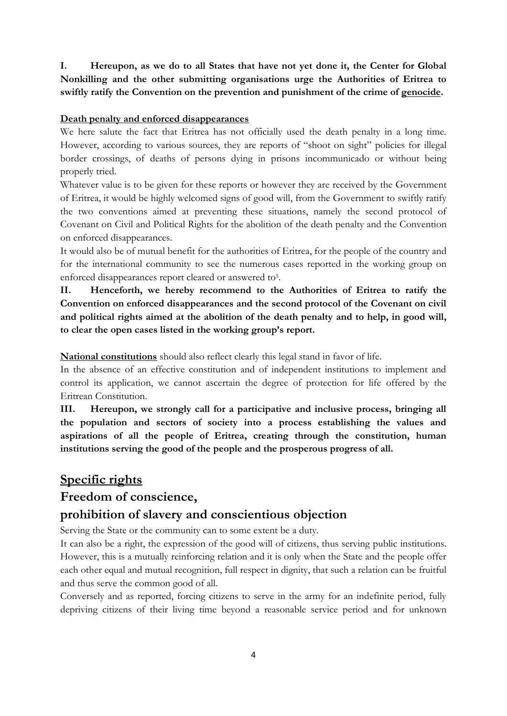**I. Hereupon, as we do to all States that have not yet done it, the Center for Global Nonkilling and the other submitting organisations urge the Authorities of Eritrea to swiftly ratify the Convention on the prevention and punishment of the crime of genocide.** 

#### **Death penalty and enforced disappearances**

We here salute the fact that Eritrea has not officially used the death penalty in a long time. However, according to various sources, they are reports of "shoot on sight" policies for illegal border crossings, of deaths of persons dying in prisons incommunicado or without being properly tried.

Whatever value is to be given for these reports or however they are received by the Government of Eritrea, it would be highly welcomed signs of good will, from the Government to swiftly ratify the two conventions aimed at preventing these situations, namely the second protocol of Covenant on Civil and Political Rights for the abolition of the death penalty and the Convention on enforced disappearances.

It would also be of mutual benefit for the authorities of Eritrea, for the people of the country and for the international community to see the numerous cases reported in the working group on enforced disappearances report cleared or answered to<sup>5</sup>.

**II. Henceforth, we hereby recommend to the Authorities of Eritrea to ratify the Convention on enforced disappearances and the second protocol of the Covenant on civil and political rights aimed at the abolition of the death penalty and to help, in good will, to clear the open cases listed in the working group's report.**

**National constitutions** should also reflect clearly this legal stand in favor of life.

In the absence of an effective constitution and of independent institutions to implement and control its application, we cannot ascertain the degree of protection for life offered by the Eritrean Constitution.

**III. Hereupon, we strongly call for a participative and inclusive process, bringing all the population and sectors of society into a process establishing the values and aspirations of all the people of Eritrea, creating through the constitution, human institutions serving the good of the people and the prosperous progress of all.**

# **Specific rights**

# **Freedom of conscience,**

# **prohibition of slavery and conscientious objection**

Serving the State or the community can to some extent be a duty.

It can also be a right, the expression of the good will of citizens, thus serving public institutions. However, this is a mutually reinforcing relation and it is only when the State and the people offer each other equal and mutual recognition, full respect in dignity, that such a relation can be fruitful and thus serve the common good of all.

Conversely and as reported, forcing citizens to serve in the army for an indefinite period, fully depriving citizens of their living time beyond a reasonable service period and for unknown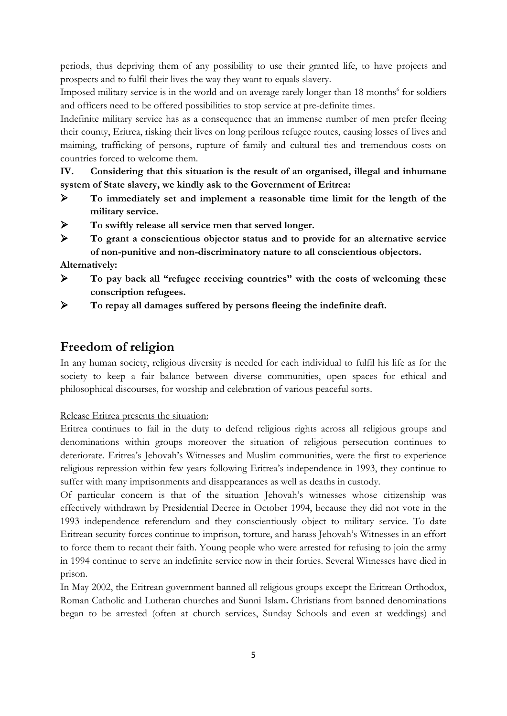periods, thus depriving them of any possibility to use their granted life, to have projects and prospects and to fulfil their lives the way they want to equals slavery.

Imposed military service is in the world and on average rarely longer than 18 months<sup>6</sup> for soldiers and officers need to be offered possibilities to stop service at pre-definite times.

Indefinite military service has as a consequence that an immense number of men prefer fleeing their county, Eritrea, risking their lives on long perilous refugee routes, causing losses of lives and maiming, trafficking of persons, rupture of family and cultural ties and tremendous costs on countries forced to welcome them.

**IV. Considering that this situation is the result of an organised, illegal and inhumane system of State slavery, we kindly ask to the Government of Eritrea:**

- **To immediately set and implement a reasonable time limit for the length of the military service.**
- **To swiftly release all service men that served longer.**
- **To grant a conscientious objector status and to provide for an alternative service of non-punitive and non-discriminatory nature to all conscientious objectors.**

**Alternatively:**

- **To pay back all "refugee receiving countries" with the costs of welcoming these conscription refugees.**
- **To repay all damages suffered by persons fleeing the indefinite draft.**

# **Freedom of religion**

In any human society, religious diversity is needed for each individual to fulfil his life as for the society to keep a fair balance between diverse communities, open spaces for ethical and philosophical discourses, for worship and celebration of various peaceful sorts.

Release Eritrea presents the situation:

Eritrea continues to fail in the duty to defend religious rights across all religious groups and denominations within groups moreover the situation of religious persecution continues to deteriorate. Eritrea's Jehovah's Witnesses and Muslim communities, were the first to experience religious repression within few years following Eritrea's independence in 1993, they continue to suffer with many imprisonments and disappearances as well as deaths in custody.

Of particular concern is that of the situation Jehovah's witnesses whose citizenship was effectively withdrawn by Presidential Decree in October 1994, because they did not vote in the 1993 independence referendum and they conscientiously object to military service. To date Eritrean security forces continue to imprison, torture, and harass Jehovah's Witnesses in an effort to force them to recant their faith. Young people who were arrested for refusing to join the army in 1994 continue to serve an indefinite service now in their forties. Several Witnesses have died in prison.

In May 2002, the Eritrean government banned all religious groups except the Eritrean Orthodox, Roman Catholic and Lutheran churches and Sunni Islam**.** Christians from banned denominations began to be arrested (often at church services, Sunday Schools and even at weddings) and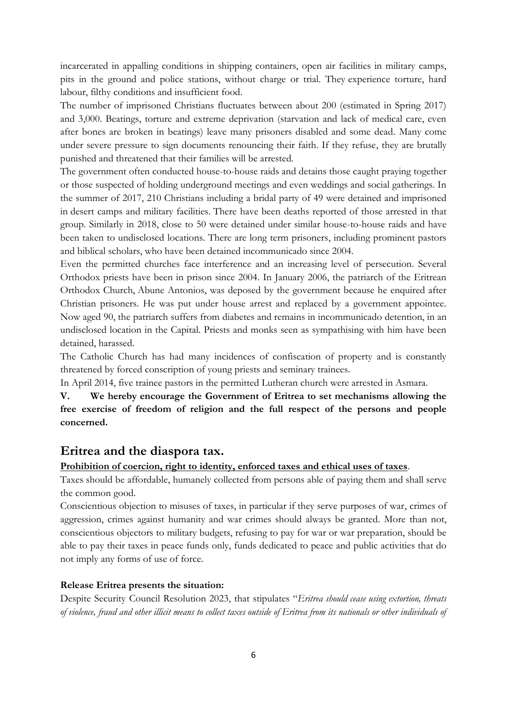incarcerated in appalling conditions in shipping containers, open air facilities in military camps, pits in the ground and police stations, without charge or trial. They experience torture, hard labour, filthy conditions and insufficient food.

The number of imprisoned Christians fluctuates between about 200 (estimated in Spring 2017) and 3,000. Beatings, torture and extreme deprivation (starvation and lack of medical care, even after bones are broken in beatings) leave many prisoners disabled and some dead. Many come under severe pressure to sign documents renouncing their faith. If they refuse, they are brutally punished and threatened that their families will be arrested.

The government often conducted house-to-house raids and detains those caught praying together or those suspected of holding underground meetings and even weddings and social gatherings. In the summer of 2017, 210 Christians including a bridal party of 49 were detained and imprisoned in desert camps and military facilities. There have been deaths reported of those arrested in that group. Similarly in 2018, close to 50 were detained under similar house-to-house raids and have been taken to undisclosed locations. There are long term prisoners, including prominent pastors and biblical scholars, who have been detained incommunicado since 2004.

Even the permitted churches face interference and an increasing level of persecution. Several Orthodox priests have been in prison since 2004. In January 2006, the patriarch of the Eritrean Orthodox Church, Abune Antonios, was deposed by the government because he enquired after Christian prisoners. He was put under house arrest and replaced by a government appointee. Now aged 90, the patriarch suffers from diabetes and remains in incommunicado detention, in an undisclosed location in the Capital. Priests and monks seen as sympathising with him have been detained, harassed.

The Catholic Church has had many incidences of confiscation of property and is constantly threatened by forced conscription of young priests and seminary trainees.

In April 2014, five trainee pastors in the permitted Lutheran church were arrested in Asmara.

**V. We hereby encourage the Government of Eritrea to set mechanisms allowing the free exercise of freedom of religion and the full respect of the persons and people concerned.**

# **Eritrea and the diaspora tax.**

#### **Prohibition of coercion, right to identity, enforced taxes and ethical uses of taxes**.

Taxes should be affordable, humanely collected from persons able of paying them and shall serve the common good.

Conscientious objection to misuses of taxes, in particular if they serve purposes of war, crimes of aggression, crimes against humanity and war crimes should always be granted. More than not, conscientious objectors to military budgets, refusing to pay for war or war preparation, should be able to pay their taxes in peace funds only, funds dedicated to peace and public activities that do not imply any forms of use of force.

#### **Release Eritrea presents the situation:**

Despite Security Council Resolution 2023, that stipulates "*Eritrea should cease using extortion, threats of violence, fraud and other illicit means to collect taxes outside of Eritrea from its nationals or other individuals of*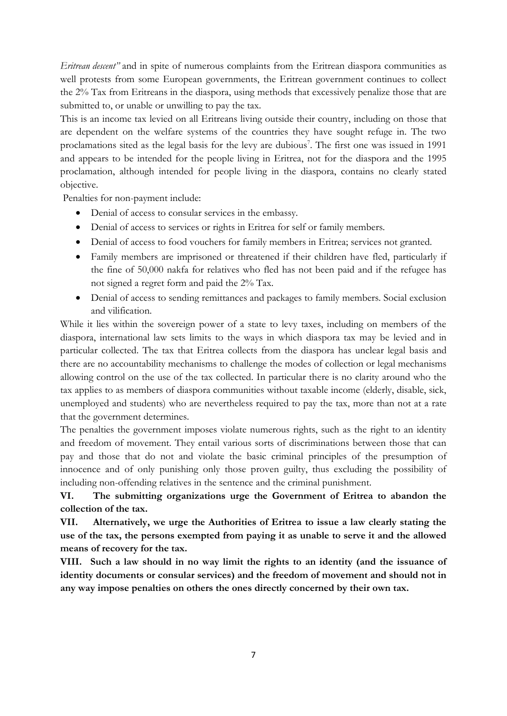*Eritrean descent"* and in spite of numerous complaints from the Eritrean diaspora communities as well protests from some European governments, the Eritrean government continues to collect the 2% Tax from Eritreans in the diaspora, using methods that excessively penalize those that are submitted to, or unable or unwilling to pay the tax.

This is an income tax levied on all Eritreans living outside their country, including on those that are dependent on the welfare systems of the countries they have sought refuge in. The two proclamations sited as the legal basis for the levy are dubious<sup>7</sup>. The first one was issued in 1991 and appears to be intended for the people living in Eritrea, not for the diaspora and the 1995 proclamation, although intended for people living in the diaspora, contains no clearly stated objective.

Penalties for non-payment include:

- Denial of access to consular services in the embassy.
- Denial of access to services or rights in Eritrea for self or family members.
- Denial of access to food vouchers for family members in Eritrea; services not granted.
- Family members are imprisoned or threatened if their children have fled, particularly if the fine of 50,000 nakfa for relatives who fled has not been paid and if the refugee has not signed a regret form and paid the 2% Tax.
- Denial of access to sending remittances and packages to family members. Social exclusion and vilification.

While it lies within the sovereign power of a state to levy taxes, including on members of the diaspora, international law sets limits to the ways in which diaspora tax may be levied and in particular collected. The tax that Eritrea collects from the diaspora has unclear legal basis and there are no accountability mechanisms to challenge the modes of collection or legal mechanisms allowing control on the use of the tax collected. In particular there is no clarity around who the tax applies to as members of diaspora communities without taxable income (elderly, disable, sick, unemployed and students) who are nevertheless required to pay the tax, more than not at a rate that the government determines.

The penalties the government imposes violate numerous rights, such as the right to an identity and freedom of movement. They entail various sorts of discriminations between those that can pay and those that do not and violate the basic criminal principles of the presumption of innocence and of only punishing only those proven guilty, thus excluding the possibility of including non-offending relatives in the sentence and the criminal punishment.

**VI. The submitting organizations urge the Government of Eritrea to abandon the collection of the tax.**

**VII. Alternatively, we urge the Authorities of Eritrea to issue a law clearly stating the use of the tax, the persons exempted from paying it as unable to serve it and the allowed means of recovery for the tax.** 

**VIII. Such a law should in no way limit the rights to an identity (and the issuance of identity documents or consular services) and the freedom of movement and should not in any way impose penalties on others the ones directly concerned by their own tax.**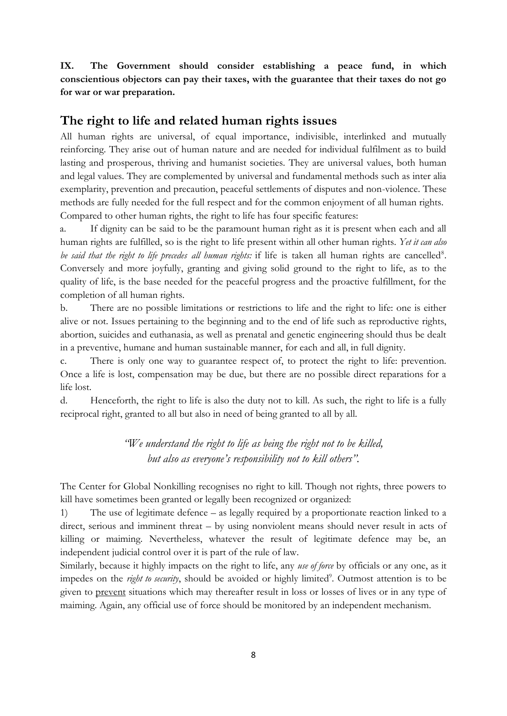**IX. The Government should consider establishing a peace fund, in which conscientious objectors can pay their taxes, with the guarantee that their taxes do not go for war or war preparation.**

# **The right to life and related human rights issues**

All human rights are universal, of equal importance, indivisible, interlinked and mutually reinforcing. They arise out of human nature and are needed for individual fulfilment as to build lasting and prosperous, thriving and humanist societies. They are universal values, both human and legal values. They are complemented by universal and fundamental methods such as inter alia exemplarity, prevention and precaution, peaceful settlements of disputes and non-violence. These methods are fully needed for the full respect and for the common enjoyment of all human rights. Compared to other human rights, the right to life has four specific features:

a. If dignity can be said to be the paramount human right as it is present when each and all human rights are fulfilled, so is the right to life present within all other human rights. *Yet it can also*  be said that the right to life precedes all human rights: if life is taken all human rights are cancelled<sup>8</sup>. Conversely and more joyfully, granting and giving solid ground to the right to life, as to the quality of life, is the base needed for the peaceful progress and the proactive fulfillment, for the completion of all human rights.

b. There are no possible limitations or restrictions to life and the right to life: one is either alive or not. Issues pertaining to the beginning and to the end of life such as reproductive rights, abortion, suicides and euthanasia, as well as prenatal and genetic engineering should thus be dealt in a preventive, humane and human sustainable manner, for each and all, in full dignity.

c. There is only one way to guarantee respect of, to protect the right to life: prevention. Once a life is lost, compensation may be due, but there are no possible direct reparations for a life lost.

d. Henceforth, the right to life is also the duty not to kill. As such, the right to life is a fully reciprocal right, granted to all but also in need of being granted to all by all.

> *"We understand the right to life as being the right not to be killed, but also as everyone's responsibility not to kill others".*

The Center for Global Nonkilling recognises no right to kill. Though not rights, three powers to kill have sometimes been granted or legally been recognized or organized:

1) The use of legitimate defence – as legally required by a proportionate reaction linked to a direct, serious and imminent threat – by using nonviolent means should never result in acts of killing or maiming. Nevertheless, whatever the result of legitimate defence may be, an independent judicial control over it is part of the rule of law.

Similarly, because it highly impacts on the right to life, any *use of force* by officials or any one, as it impedes on the *right to security*, should be avoided or highly limited<sup>9</sup>. Outmost attention is to be given to prevent situations which may thereafter result in loss or losses of lives or in any type of maiming. Again, any official use of force should be monitored by an independent mechanism.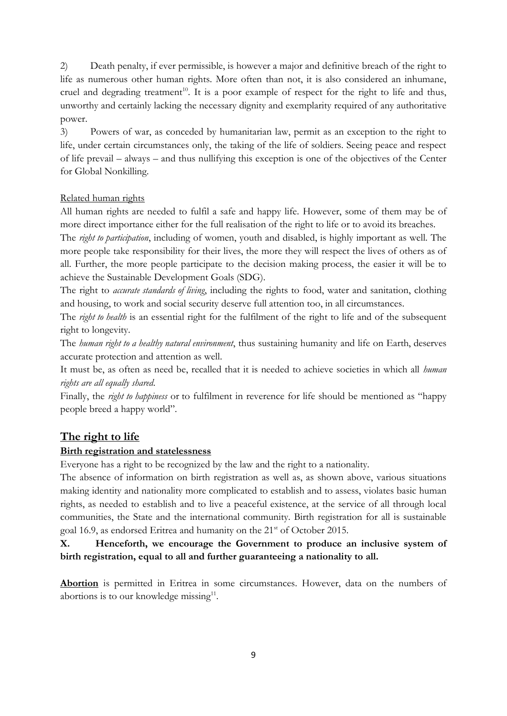2) Death penalty, if ever permissible, is however a major and definitive breach of the right to life as numerous other human rights. More often than not, it is also considered an inhumane, cruel and degrading treatment<sup>10</sup>. It is a poor example of respect for the right to life and thus, unworthy and certainly lacking the necessary dignity and exemplarity required of any authoritative power.

3) Powers of war, as conceded by humanitarian law, permit as an exception to the right to life, under certain circumstances only, the taking of the life of soldiers. Seeing peace and respect of life prevail – always – and thus nullifying this exception is one of the objectives of the Center for Global Nonkilling.

#### Related human rights

All human rights are needed to fulfil a safe and happy life. However, some of them may be of more direct importance either for the full realisation of the right to life or to avoid its breaches.

The *right to participation*, including of women, youth and disabled, is highly important as well. The more people take responsibility for their lives, the more they will respect the lives of others as of all. Further, the more people participate to the decision making process, the easier it will be to achieve the Sustainable Development Goals (SDG).

The right to *accurate standards of living*, including the rights to food, water and sanitation, clothing and housing, to work and social security deserve full attention too, in all circumstances.

The *right to health* is an essential right for the fulfilment of the right to life and of the subsequent right to longevity.

The *human right to a healthy natural environment*, thus sustaining humanity and life on Earth, deserves accurate protection and attention as well.

It must be, as often as need be, recalled that it is needed to achieve societies in which all *human rights are all equally shared*.

Finally, the *right to happiness* or to fulfilment in reverence for life should be mentioned as "happy people breed a happy world".

# **The right to life**

#### **Birth registration and statelessness**

Everyone has a right to be recognized by the law and the right to a nationality.

The absence of information on birth registration as well as, as shown above, various situations making identity and nationality more complicated to establish and to assess, violates basic human rights, as needed to establish and to live a peaceful existence, at the service of all through local communities, the State and the international community. Birth registration for all is sustainable goal 16.9, as endorsed Eritrea and humanity on the 21<sup>st</sup> of October 2015.

# **X. Henceforth, we encourage the Government to produce an inclusive system of birth registration, equal to all and further guaranteeing a nationality to all.**

**Abortion** is permitted in Eritrea in some circumstances. However, data on the numbers of abortions is to our knowledge missing $11$ .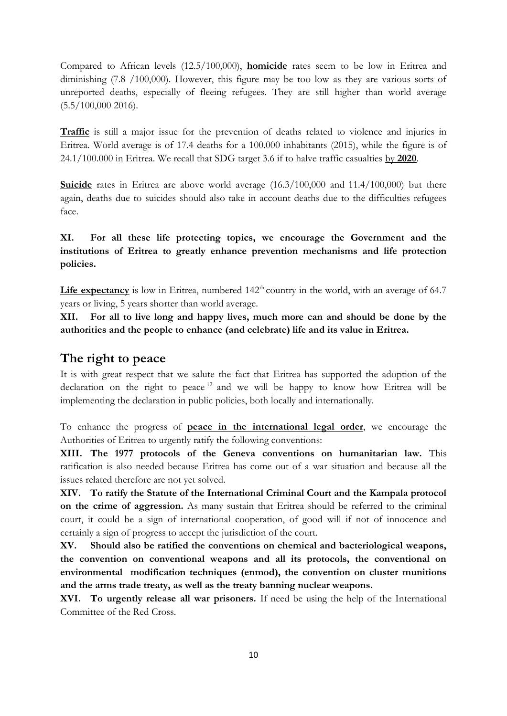Compared to African levels (12.5/100,000), **homicide** rates seem to be low in Eritrea and diminishing (7.8 /100,000). However, this figure may be too low as they are various sorts of unreported deaths, especially of fleeing refugees. They are still higher than world average  $(5.5/100,000 2016).$ 

**Traffic** is still a major issue for the prevention of deaths related to violence and injuries in Eritrea. World average is of 17.4 deaths for a 100.000 inhabitants (2015), while the figure is of 24.1/100.000 in Eritrea. We recall that SDG target 3.6 if to halve traffic casualties by **2020**.

**Suicide** rates in Eritrea are above world average  $(16.3/100,000)$  and  $11.4/100,000$  but there again, deaths due to suicides should also take in account deaths due to the difficulties refugees face.

**XI. For all these life protecting topics, we encourage the Government and the institutions of Eritrea to greatly enhance prevention mechanisms and life protection policies.**

Life expectancy is low in Eritrea, numbered  $142<sup>th</sup>$  country in the world, with an average of 64.7 years or living, 5 years shorter than world average.

**XII. For all to live long and happy lives, much more can and should be done by the authorities and the people to enhance (and celebrate) life and its value in Eritrea.**

#### **The right to peace**

It is with great respect that we salute the fact that Eritrea has supported the adoption of the declaration on the right to peace  $12$  and we will be happy to know how Eritrea will be implementing the declaration in public policies, both locally and internationally.

To enhance the progress of **peace in the international legal order**, we encourage the Authorities of Eritrea to urgently ratify the following conventions:

**XIII. The 1977 protocols of the Geneva conventions on humanitarian law.** This ratification is also needed because Eritrea has come out of a war situation and because all the issues related therefore are not yet solved.

**XIV. To ratify the Statute of the International Criminal Court and the Kampala protocol on the crime of aggression.** As many sustain that Eritrea should be referred to the criminal court, it could be a sign of international cooperation, of good will if not of innocence and certainly a sign of progress to accept the jurisdiction of the court.

**XV. Should also be ratified the conventions on chemical and bacteriological weapons, the convention on conventional weapons and all its protocols, the conventional on environmental modification techniques (enmod), the convention on cluster munitions and the arms trade treaty, as well as the treaty banning nuclear weapons.**

**XVI. To urgently release all war prisoners.** If need be using the help of the International Committee of the Red Cross.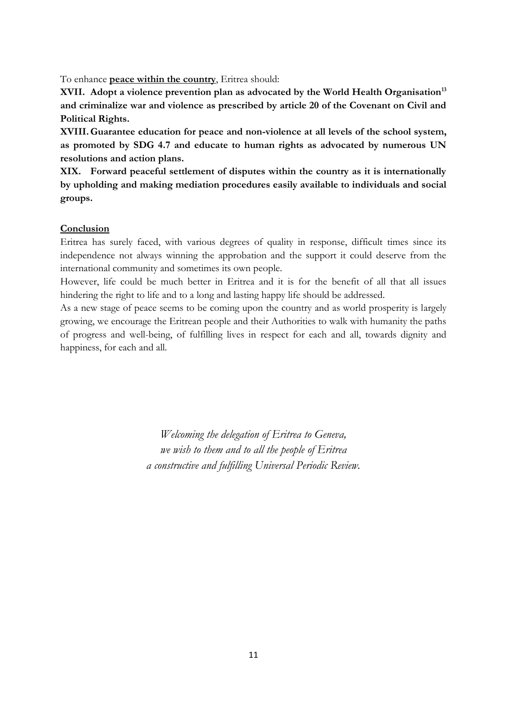To enhance **peace within the country**, Eritrea should:

**XVII. Adopt a violence prevention plan as advocated by the World Health Organisation<sup>13</sup> and criminalize war and violence as prescribed by article 20 of the Covenant on Civil and Political Rights.** 

**XVIII.Guarantee education for peace and non-violence at all levels of the school system, as promoted by SDG 4.7 and educate to human rights as advocated by numerous UN resolutions and action plans.**

**XIX. Forward peaceful settlement of disputes within the country as it is internationally by upholding and making mediation procedures easily available to individuals and social groups.** 

#### **Conclusion**

Eritrea has surely faced, with various degrees of quality in response, difficult times since its independence not always winning the approbation and the support it could deserve from the international community and sometimes its own people.

However, life could be much better in Eritrea and it is for the benefit of all that all issues hindering the right to life and to a long and lasting happy life should be addressed.

As a new stage of peace seems to be coming upon the country and as world prosperity is largely growing, we encourage the Eritrean people and their Authorities to walk with humanity the paths of progress and well-being, of fulfilling lives in respect for each and all, towards dignity and happiness, for each and all.

> *Welcoming the delegation of Eritrea to Geneva, we wish to them and to all the people of Eritrea a constructive and fulfilling Universal Periodic Review.*